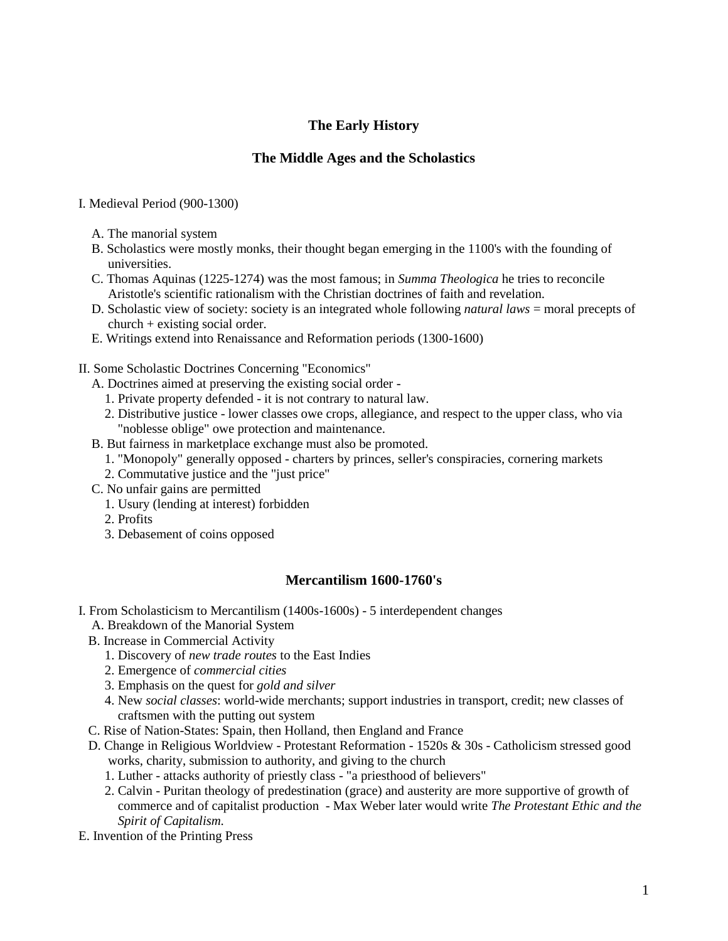# **The Early History**

## **The Middle Ages and the Scholastics**

### I. Medieval Period (900-1300)

- A. The manorial system
- B. Scholastics were mostly monks, their thought began emerging in the 1100's with the founding of universities.
- C. Thomas Aquinas (1225-1274) was the most famous; in *Summa Theologica* he tries to reconcile Aristotle's scientific rationalism with the Christian doctrines of faith and revelation.
- D. Scholastic view of society: society is an integrated whole following *natural laws* = moral precepts of church + existing social order.
- E. Writings extend into Renaissance and Reformation periods (1300-1600)
- II. Some Scholastic Doctrines Concerning "Economics"
	- A. Doctrines aimed at preserving the existing social order
		- 1. Private property defended it is not contrary to natural law.
		- 2. Distributive justice lower classes owe crops, allegiance, and respect to the upper class, who via "noblesse oblige" owe protection and maintenance.
	- B. But fairness in marketplace exchange must also be promoted.
		- 1. "Monopoly" generally opposed charters by princes, seller's conspiracies, cornering markets
		- 2. Commutative justice and the "just price"
	- C. No unfair gains are permitted
		- 1. Usury (lending at interest) forbidden
		- 2. Profits
		- 3. Debasement of coins opposed

## **Mercantilism 1600-1760's**

- I. From Scholasticism to Mercantilism (1400s-1600s) 5 interdependent changes
	- A. Breakdown of the Manorial System
	- B. Increase in Commercial Activity
		- 1. Discovery of *new trade routes* to the East Indies
		- 2. Emergence of *commercial cities*
		- 3. Emphasis on the quest for *gold and silver*
		- 4. New *social classes*: world-wide merchants; support industries in transport, credit; new classes of craftsmen with the putting out system
	- C. Rise of Nation-States: Spain, then Holland, then England and France
	- D. Change in Religious Worldview Protestant Reformation 1520s & 30s Catholicism stressed good works, charity, submission to authority, and giving to the church
		- 1. Luther attacks authority of priestly class "a priesthood of believers"
		- 2. Calvin Puritan theology of predestination (grace) and austerity are more supportive of growth of commerce and of capitalist production - Max Weber later would write *The Protestant Ethic and the Spirit of Capitalism.*
- E. Invention of the Printing Press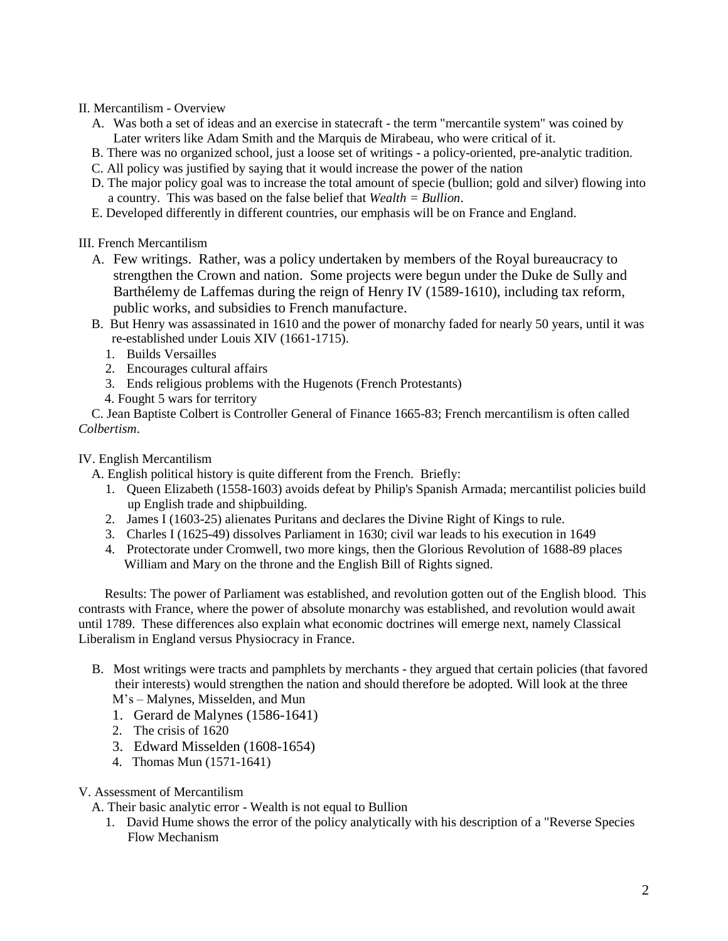### II. Mercantilism - Overview

- A. Was both a set of ideas and an exercise in statecraft the term "mercantile system" was coined by Later writers like Adam Smith and the Marquis de Mirabeau, who were critical of it.
- B. There was no organized school, just a loose set of writings a policy-oriented, pre-analytic tradition.
- C. All policy was justified by saying that it would increase the power of the nation
- D. The major policy goal was to increase the total amount of specie (bullion; gold and silver) flowing into a country. This was based on the false belief that *Wealth = Bullion*.
- E. Developed differently in different countries, our emphasis will be on France and England.

## III. French Mercantilism

- A. Few writings. Rather, was a policy undertaken by members of the Royal bureaucracy to strengthen the Crown and nation. Some projects were begun under the Duke de Sully and Barthélemy de Laffemas during the reign of Henry IV (1589-1610), including tax reform, public works, and subsidies to French manufacture.
- B. But Henry was assassinated in 1610 and the power of monarchy faded for nearly 50 years, until it was re-established under Louis XIV (1661-1715).
	- 1. Builds Versailles
	- 2. Encourages cultural affairs
	- 3. Ends religious problems with the Hugenots (French Protestants)
	- 4. Fought 5 wars for territory

 C. Jean Baptiste Colbert is Controller General of Finance 1665-83; French mercantilism is often called *Colbertism*.

### IV. English Mercantilism

A. English political history is quite different from the French. Briefly:

- 1. Queen Elizabeth (1558-1603) avoids defeat by Philip's Spanish Armada; mercantilist policies build up English trade and shipbuilding.
- 2. James I (1603-25) alienates Puritans and declares the Divine Right of Kings to rule.
- 3. Charles I (1625-49) dissolves Parliament in 1630; civil war leads to his execution in 1649
- 4. Protectorate under Cromwell, two more kings, then the Glorious Revolution of 1688-89 places William and Mary on the throne and the English Bill of Rights signed.

 Results: The power of Parliament was established, and revolution gotten out of the English blood. This contrasts with France, where the power of absolute monarchy was established, and revolution would await until 1789. These differences also explain what economic doctrines will emerge next, namely Classical Liberalism in England versus Physiocracy in France.

- B. Most writings were tracts and pamphlets by merchants they argued that certain policies (that favored their interests) would strengthen the nation and should therefore be adopted. Will look at the three M's – Malynes, Misselden, and Mun
	- 1. Gerard de Malynes (1586-1641)
	- 2. The crisis of 1620
	- 3. Edward Misselden (1608-1654)
	- 4. Thomas Mun (1571-1641)

#### V. Assessment of Mercantilism

A. Their basic analytic error - Wealth is not equal to Bullion

1. David Hume shows the error of the policy analytically with his description of a "Reverse Species Flow Mechanism